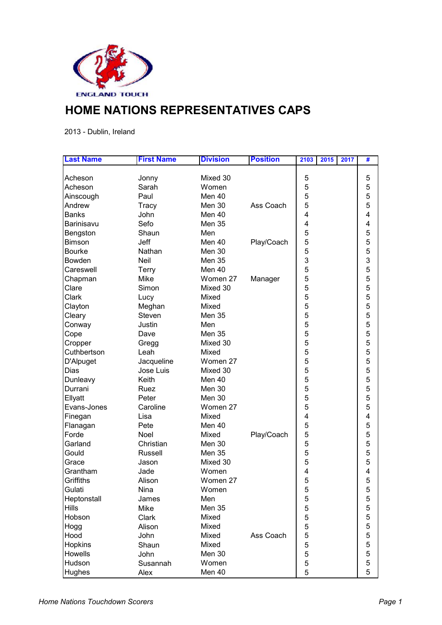

## **HOME NATIONS REPRESENTATIVES CAPS**

2013 - Dublin, Ireland

| <b>Last Name</b>  | <b>First Name</b> | <b>Division</b> | <b>Position</b> | 2103<br>2015 | 2017 | # |
|-------------------|-------------------|-----------------|-----------------|--------------|------|---|
|                   |                   |                 |                 |              |      |   |
| Acheson           | Jonny             | Mixed 30        |                 | 5            |      | 5 |
| Acheson           | Sarah             | Women           |                 | 5            |      | 5 |
| Ainscough         | Paul              | <b>Men 40</b>   |                 | 5            |      | 5 |
| Andrew            | Tracy             | Men 30          | Ass Coach       | 5            |      | 5 |
| <b>Banks</b>      | John              | Men 40          |                 | 4            |      | 4 |
| Barinisavu        | Sefo              | <b>Men 35</b>   |                 | 4            |      | 4 |
| Bengston          | Shaun             | Men             |                 | 5            |      | 5 |
| <b>Bimson</b>     | Jeff              | Men 40          | Play/Coach      | 5            |      | 5 |
| <b>Bourke</b>     | Nathan            | Men 30          |                 | 5            |      | 5 |
| Bowden            | Neil              | <b>Men 35</b>   |                 | 3            |      | 3 |
| Careswell         | <b>Terry</b>      | Men 40          |                 | 5            |      | 5 |
| Chapman           | Mike              | Women 27        | Manager         | 5            |      | 5 |
| Clare             | Simon             | Mixed 30        |                 | 5            |      | 5 |
| Clark             | Lucy              | Mixed           |                 | 5            |      | 5 |
| Clayton           | Meghan            | Mixed           |                 | 5            |      | 5 |
| Cleary            | Steven            | <b>Men 35</b>   |                 | 5            |      | 5 |
| Conway            | Justin            | Men             |                 | 5            |      | 5 |
| Cope              | Dave              | <b>Men 35</b>   |                 | 5            |      | 5 |
| Cropper           | Gregg             | Mixed 30        |                 | 5            |      | 5 |
| Cuthbertson       | Leah              | Mixed           |                 | 5            |      | 5 |
| D'Alpuget         | Jacqueline        | Women 27        |                 | 5            |      | 5 |
| Dias              | Jose Luis         | Mixed 30        |                 | 5            |      | 5 |
| Dunleavy          | Keith             | Men 40          |                 | 5            |      | 5 |
| Durrani           | Ruez              | Men 30          |                 | 5            |      | 5 |
| Ellyatt           | Peter             | Men 30          |                 | 5            |      | 5 |
| Evans-Jones       | Caroline          | Women 27        |                 | 5            |      | 5 |
| Finegan           | Lisa              | Mixed           |                 | 4            |      | 4 |
|                   | Pete              | Men 40          |                 | 5            |      | 5 |
| Flanagan<br>Forde | Noel              | Mixed           |                 | 5            |      | 5 |
|                   |                   |                 | Play/Coach      |              |      | 5 |
| Garland           | Christian         | Men 30          |                 | 5            |      | 5 |
| Gould             | Russell           | <b>Men 35</b>   |                 | 5            |      |   |
| Grace             | Jason             | Mixed 30        |                 | 5            |      | 5 |
| Grantham          | Jade              | Women           |                 | 4            |      | 4 |
| Griffiths         | Alison            | Women 27        |                 | 5            |      | 5 |
| Gulati            | Nina              | Women           |                 | 5            |      | 5 |
| Heptonstall       | James             | Men             |                 | 5            |      | 5 |
| <b>Hills</b>      | Mike              | <b>Men 35</b>   |                 | 5            |      | 5 |
| Hobson            | Clark             | Mixed           |                 | 5            |      | 5 |
| Hogg              | Alison            | Mixed           |                 | 5            |      | 5 |
| Hood              | John              | Mixed           | Ass Coach       | 5            |      | 5 |
| <b>Hopkins</b>    | Shaun             | Mixed           |                 | 5            |      | 5 |
| Howells           | John              | Men 30          |                 | 5            |      | 5 |
| Hudson            | Susannah          | Women           |                 | 5            |      | 5 |
| Hughes            | Alex              | Men 40          |                 | 5            |      | 5 |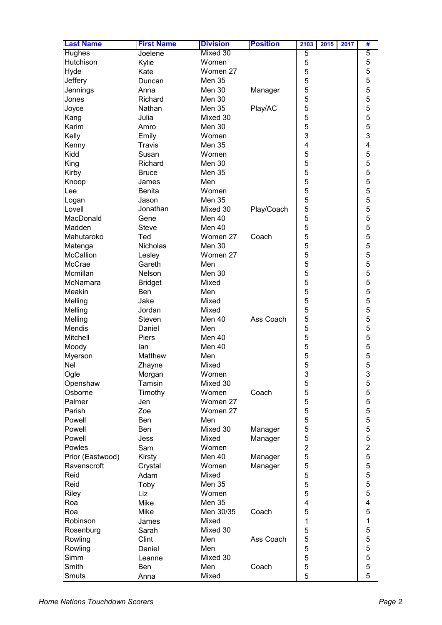| <b>Last Name</b>                | <b>First Name</b> | <b>Division</b>        | <b>Position</b> | 2103<br>2015<br>2017 | #                       |
|---------------------------------|-------------------|------------------------|-----------------|----------------------|-------------------------|
| <b>Hughes</b>                   | Joelene           | Mixed 30               |                 | 5                    | 5                       |
| Hutchison                       | Kylie             | Women                  |                 | 5                    | 5                       |
| Hyde                            | Kate              | Women 27               |                 | 5                    | 5                       |
| Jeffery                         | Duncan            | <b>Men 35</b>          |                 | 5                    | 5                       |
| Jennings                        | Anna              | Men 30                 | Manager         | 5                    | 5                       |
| Jones                           | Richard           | Men 30                 |                 | 5                    | 5                       |
| Joyce                           | Nathan            | <b>Men 35</b>          | Play/AC         | 5                    | 5                       |
| Kang                            | Julia             | Mixed 30               |                 | 5                    | 5                       |
| Karim                           | Amro              | Men 30                 |                 | 5                    | 5                       |
| Kelly                           | Emily             | Women                  |                 | 3                    | 3                       |
| Kenny                           | <b>Travis</b>     | <b>Men 35</b>          |                 | 4                    | 4                       |
| Kidd                            | Susan             | Women                  |                 | 5                    | 5                       |
| King                            | Richard           | Men 30                 |                 | 5                    | 5                       |
| Kirby                           | <b>Bruce</b>      | Men 35                 |                 | 5                    | 5                       |
| Knoop                           | James             | Men                    |                 | 5                    | 5                       |
| Lee                             | <b>Benita</b>     | Women                  |                 | 5                    | 5                       |
|                                 | Jason             | <b>Men 35</b>          |                 | 5                    | 5                       |
| Logan<br>Lovell                 | Jonathan          | Mixed 30               |                 | 5                    | 5                       |
| MacDonald                       |                   |                        | Play/Coach      |                      | 5                       |
| Madden                          | Gene              | Men 40                 |                 | 5                    |                         |
|                                 | <b>Steve</b>      | Men 40                 | Coach           | 5<br>5               | 5                       |
| Mahutaroko                      | Ted               | Women 27               |                 |                      | 5                       |
| Matenga                         | <b>Nicholas</b>   | Men 30                 |                 | 5                    | 5                       |
| <b>McCallion</b>                | Lesley            | Women 27               |                 | 5                    | 5                       |
| McCrae                          | Gareth            | Men                    |                 | 5                    | 5                       |
| Mcmillan                        | Nelson            | Men 30                 |                 | 5                    | 5                       |
| McNamara                        | <b>Bridget</b>    | Mixed                  |                 | 5                    | 5                       |
| Meakin                          | Ben               | Men                    |                 | 5                    | 5                       |
| Melling                         | Jake              | Mixed                  |                 | 5                    | 5                       |
| Melling                         | Jordan            | Mixed                  |                 | 5                    | 5                       |
| Melling<br>Mendis               | Steven            | Men 40                 | Ass Coach       | 5<br>5               | 5<br>5                  |
|                                 | Daniel            | Men                    |                 | 5                    | 5                       |
| Mitchell                        | Piers             | Men 40                 |                 |                      | 5                       |
| Moody                           | lan               | Men 40                 |                 | 5                    | 5                       |
| Myerson                         | Matthew           | Men<br>Mixed           |                 | 5<br>5               | 5                       |
| <b>Nel</b>                      | Zhayne            |                        |                 |                      |                         |
| Ogle                            | Morgan            | Women                  |                 | 3                    | 3                       |
| Openshaw                        | Tamsin            | Mixed 30<br>Women      | Coach           | 5<br>5               | 5                       |
| Osborne                         | Timothy           | Women 27               |                 |                      | 5                       |
| Palmer                          | Jen               |                        |                 | 5                    | 5                       |
| Parish                          | Zoe               | Women 27               |                 | 5                    | 5                       |
| Powell                          | Ben               | Men<br>Mixed 30        |                 | 5                    | 5                       |
| Powell<br>Powell                | Ben               | Mixed                  | Manager         | 5<br>5               | 5<br>5                  |
|                                 | Jess              |                        | Manager         |                      | $\overline{2}$          |
| Powles                          | Sam               | Women<br>Men 40        |                 | $\overline{2}$<br>5  | 5                       |
| Prior (Eastwood)<br>Ravenscroft | Kirsty            |                        | Manager         | 5                    | 5                       |
|                                 | Crystal           | Women                  | Manager         |                      | 5                       |
| Reid                            | Adam              | Mixed                  |                 | 5                    | 5                       |
| Reid                            | Toby              | <b>Men 35</b>          |                 | 5                    | 5                       |
| Riley                           | Liz               | Women<br><b>Men 35</b> |                 | 5                    | $\overline{\mathbf{4}}$ |
| Roa                             | Mike              |                        |                 | 4                    |                         |
| Roa                             | Mike              | Men 30/35              | Coach           | 5                    | 5                       |
| Robinson                        | James             | Mixed                  |                 | 1                    | 1                       |
| Rosenburg                       | Sarah             | Mixed 30               |                 | 5                    | 5                       |
| Rowling                         | Clint             | Men                    | Ass Coach       | 5                    | 5                       |
| Rowling                         | Daniel            | Men                    |                 | 5                    | 5                       |
| Simm                            | Leanne            | Mixed 30               |                 | 5                    | 5                       |
| Smith                           | Ben               | Men                    | Coach           | 5                    | 5                       |
| Smuts                           | Anna              | Mixed                  |                 | 5                    | 5                       |